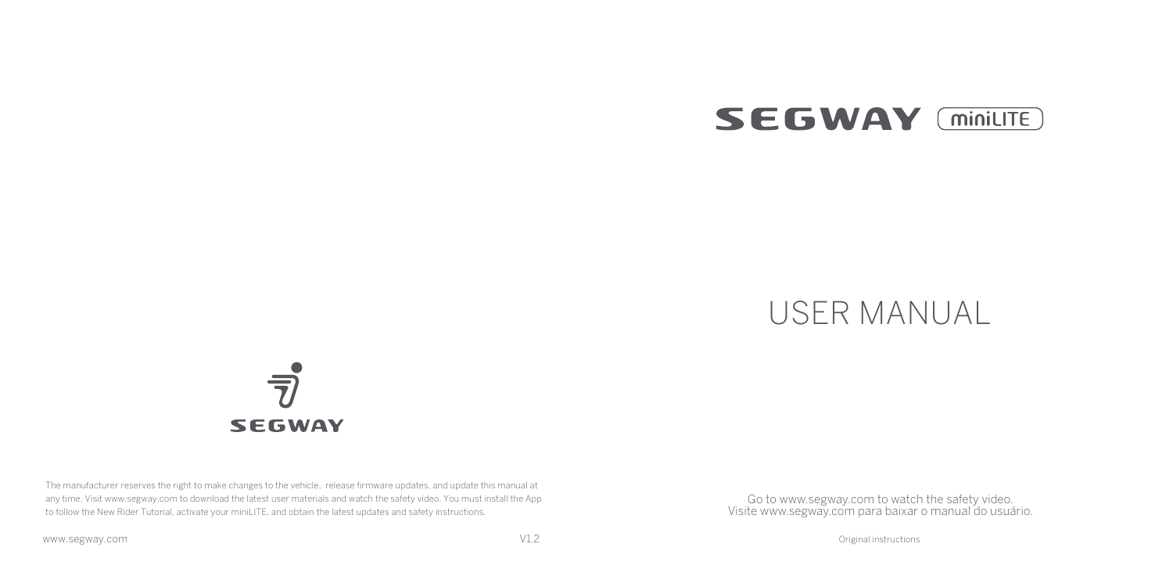

# USER MANUAL



The manufacturer reserves the right to make changes to the vehicle, release firmware updates, and update this manual at any time. Visit www.segway.com to download the latest user materials and watch the safety video. You must install the App to follow the New Rider Tutorial, activate your miniLITE, and obtain the latest updates and safety instructions.

Go to www.segway.com to watch the safety video. Visite www.segway.com para baixar o manual do usuário.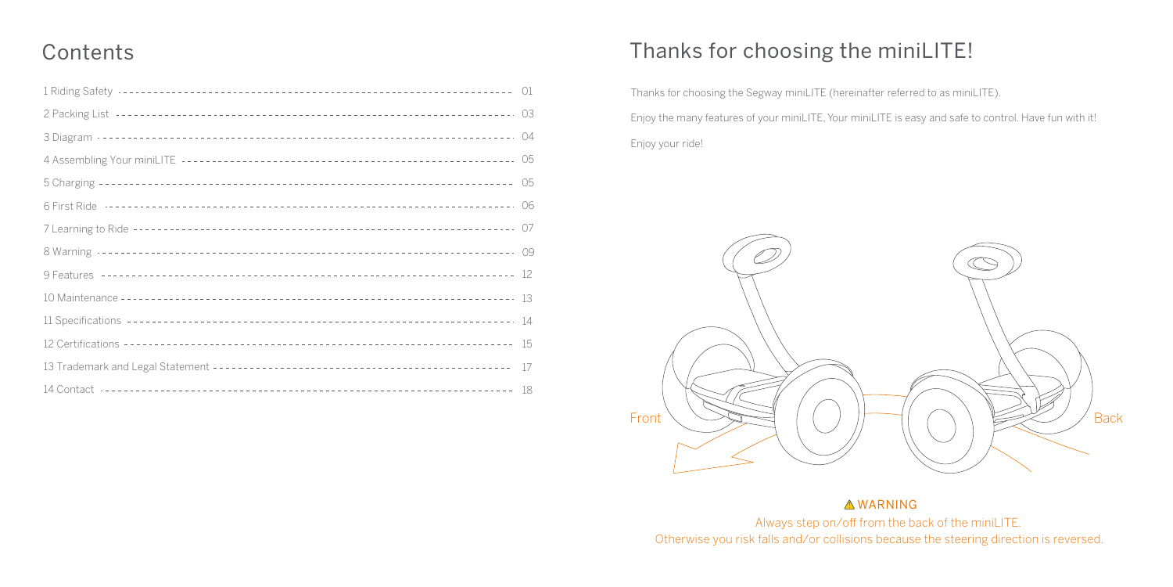### **Contents**

### Thanks for choosing the miniLITE!

Thanks for choosing the Segway miniLITE (hereinafter referred to as miniLITE). Enjoy the many features of your miniLITE, Your miniLITE is easy and safe to control. Have fun with it! Enjoy your ride!



### **AWARNING**

Always step on/off from the back of the miniLITE. Otherwise you risk falls and/or collisions because the steering direction is reversed.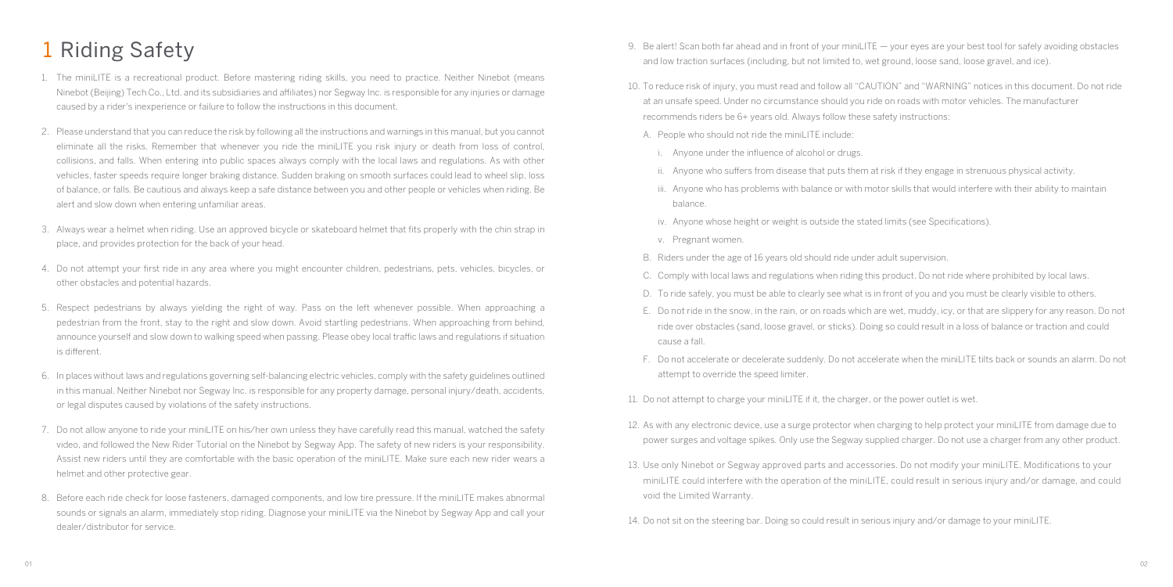## 1 Riding Safety

- 1. The miniLITE is a recreational product. Before mastering riding skills, you need to practice. Neither Ninebot (means Ninebot (Beijing) Tech Co., Ltd. and its subsidiaries and affiliates) nor Segway Inc. is responsible for any injuries or damage caused by a rider's inexperience or failure to follow the instructions in this document.
- 2. Please understand that you can reduce the risk by following all the instructions and warnings in this manual, but you cannot eliminate all the risks. Remember that whenever you ride the miniLITE you risk injury or death from loss of control, collisions, and falls. When entering into public spaces always comply with the local laws and regulations. As with other vehicles, faster speeds require longer braking distance. Sudden braking on smooth surfaces could lead to wheel slip, loss of balance, or falls. Be cautious and always keep a safe distance between you and other people or vehicles when riding. Be alert and slow down when entering unfamiliar areas.
- 3. Always wear a helmet when riding. Use an approved bicycle or skateboard helmet that fits properly with the chin strap in place, and provides protection for the back of your head.
- 4. Do not attempt your first ride in any area where you might encounter children, pedestrians, pets, vehicles, bicycles, or other obstacles and potential hazards.
- 5. Respect pedestrians by always yielding the right of way. Pass on the left whenever possible. When approaching a pedestrian from the front, stay to the right and slow down. Avoid startling pedestrians. When approaching from behind, announce yourself and slow down to walking speed when passing. Please obey local traffic laws and regulations if situation is different.
- 6. In places without laws and regulations governing self-balancing electric vehicles, comply with the safety guidelines outlined in this manual. Neither Ninebot nor Segway Inc. is responsible for any property damage, personal injury/death, accidents, or legal disputes caused by violations of the safety instructions.
- 7. Do not allow anyone to ride your miniLITE on his/her own unless they have carefully read this manual, watched the safety video, and followed the New Rider Tutorial on the Ninebot by Segway App. The safety of new riders is your responsibility. Assist new riders until they are comfortable with the basic operation of the miniLITE. Make sure each new rider wears a helmet and other protective gear.
- 8. Before each ride check for loose fasteners, damaged components, and low tire pressure. If the miniLITE makes abnormal sounds or signals an alarm, immediately stop riding. Diagnose your miniLITE via the Ninebot by Segway App and call your dealer/distributor for service.
- 9. Be alert! Scan both far ahead and in front of your miniLITE your eyes are your best tool for safely avoiding obstacles and low traction surfaces (including, but not limited to, wet ground, loose sand, loose gravel, and ice).
- 10. To reduce risk of injury, you must read and follow all "CAUTION" and "WARNING" notices in this document. Do not ride at an unsafe speed. Under no circumstance should you ride on roads with motor vehicles. The manufacturer recommends riders be 6+ years old. Always follow these safety instructions:
	- A. People who should not ride the miniLITE include:
		- i. Anyone under the influence of alcohol or drugs.
		- ii. Anyone who suffers from disease that puts them at risk if they engage in strenuous physical activity.
		- iii. Anyone who has problems with balance or with motor skills that would interfere with their ability to maintain balance.
		- iv. Anyone whose height or weight is outside the stated limits (see Specifications).
		- v. Pregnant women.
	- B. Riders under the age of 16 years old should ride under adult supervision.
	- C. Comply with local laws and regulations when riding this product. Do not ride where prohibited by local laws.
	- D. To ride safely, you must be able to clearly see what is in front of you and you must be clearly visible to others.
	- E. Do not ride in the snow, in the rain, or on roads which are wet, muddy, icy, or that are slippery for any reason. Do not ride over obstacles (sand, loose gravel, or sticks). Doing so could result in a loss of balance or traction and could cause a fall.
	- F. Do not accelerate or decelerate suddenly. Do not accelerate when the miniLITE tilts back or sounds an alarm. Do not attempt to override the speed limiter.
- 11. Do not attempt to charge your miniLITE if it, the charger, or the power outlet is wet.
- 12. As with any electronic device, use a surge protector when charging to help protect your miniLITE from damage due to power surges and voltage spikes. Only use the Segway supplied charger. Do not use a charger from any other product.
- 13. Use only Ninebot or Segway approved parts and accessories. Do not modify your miniLITE. Modifications to your miniLITE could interfere with the operation of the miniLITE, could result in serious injury and/or damage, and could void the Limited Warranty.
- 14. Do not sit on the steering bar. Doing so could result in serious injury and/or damage to your miniLITE.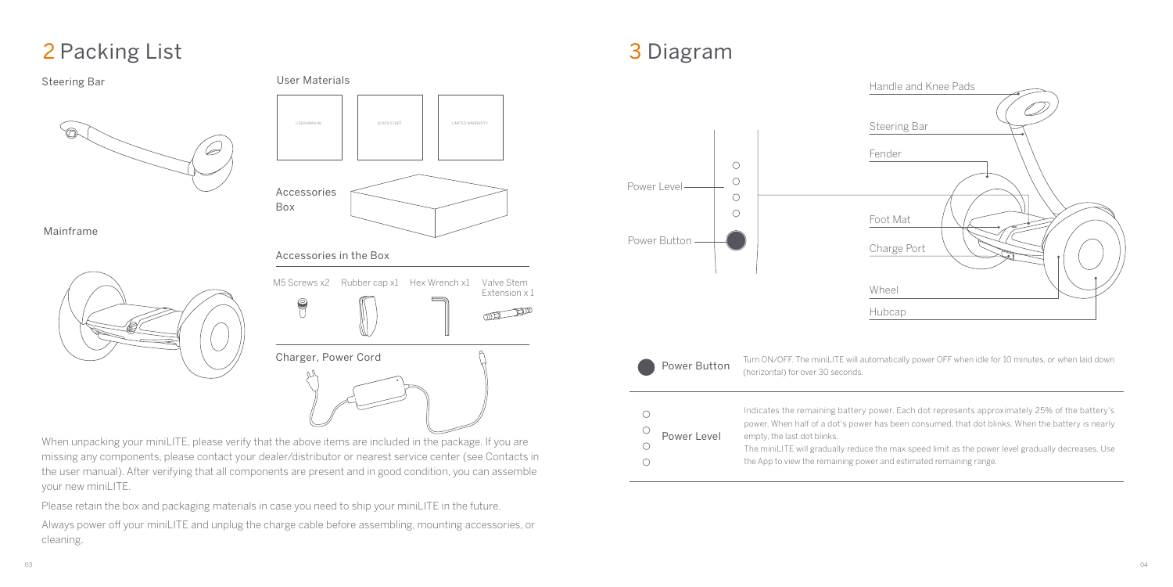# 2 Packing List



When unpacking your miniLITE, please verify that the above items are included in the package. If you are missing any components, please contact your dealer/distributor or nearest service center (see Contacts in the user manual). After verifying that all components are present and in good condition, you can assemble your new miniLITE.

Please retain the box and packaging materials in case you need to ship your miniLITE in the future. Always power off your miniLITE and unplug the charge cable before assembling, mounting accessories, or cleaning.

# 3 Diagram





 $\bigcirc$  $\bigcirc$  $\circ$  $\bigcirc$ 

Extension x 1

Turn ON/OFF. The miniLITE will automatically power OFF when idle for 10 minutes, or when laid down (horizontal) for over 30 seconds.

|             | Indicates the remaining battery power. Each dot represents approximately 25% of the battery's      |
|-------------|----------------------------------------------------------------------------------------------------|
|             | power. When half of a dot's power has been consumed, that dot blinks. When the battery is nearly   |
| Power Level | empty, the last dot blinks.                                                                        |
|             | The miniLITE will gradually reduce the max speed limit as the power level gradually decreases. Use |
|             | the App to view the remaining power and estimated remaining range.                                 |
|             |                                                                                                    |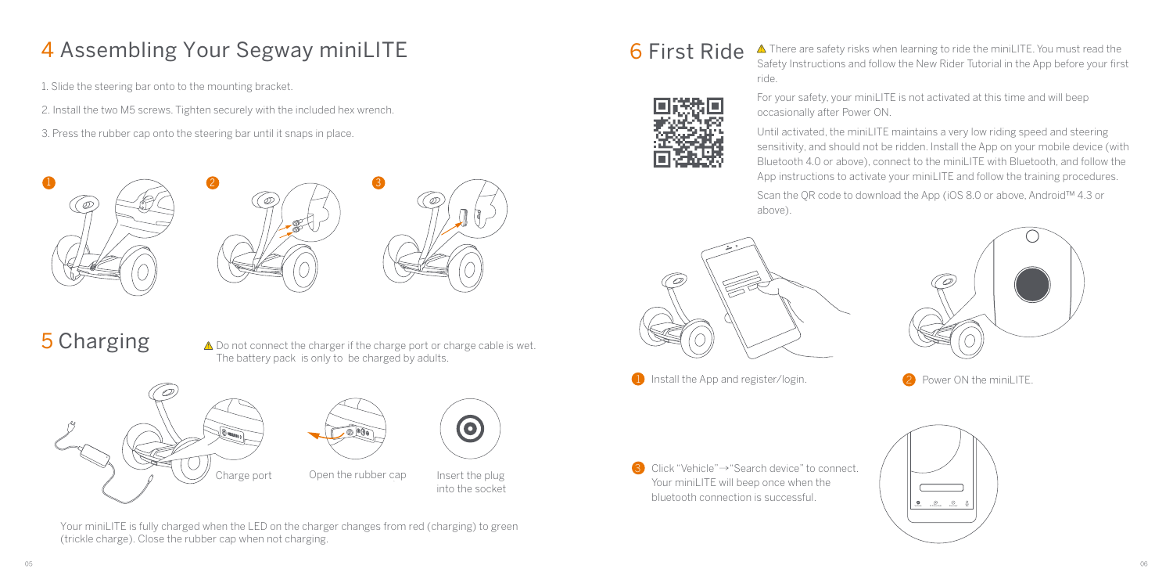# 4 Assembling Your Segway miniLITE

1. Slide the steering bar onto to the mounting bracket.

2. Install the two M5 screws. Tighten securely with the included hex wrench.

3. Press the rubber cap onto the steering bar until it snaps in place.







# 5 Charging

 $\triangle$  Do not connect the charger if the charge port or charge cable is wet. The battery pack is only to be charged by adults.





Charge port Open the rubber cap Insert the plug into the socket

0

Your miniLITE is fully charged when the LED on the charger changes from red (charging) to green (trickle charge). Close the rubber cap when not charging.





 $\overline{6}$  First Ride  $\overline{\phantom{a}}$  There are safety risks when learning to ride the miniLITE. You must read the Safety Instructions and follow the New Rider Tutorial in the App before your first ride.

> For your safety, your miniLITE is not activated at this time and will beep occasionally after Power ON.

Until activated, the miniLITE maintains a very low riding speed and steering sensitivity, and should not be ridden. Install the App on your mobile device (with Bluetooth 4.0 or above), connect to the miniLITE with Bluetooth, and follow the App instructions to activate your miniLITE and follow the training procedures.

Scan the QR code to download the App (iOS 8.0 or above, Android™ 4.3 or above).





- 1 Install the App and register/login. 2 Power ON the miniLITE.
	-

3 Click "Vehicle"→"Search device" to connect. Your miniLITE will beep once when the bluetooth connection is successful.

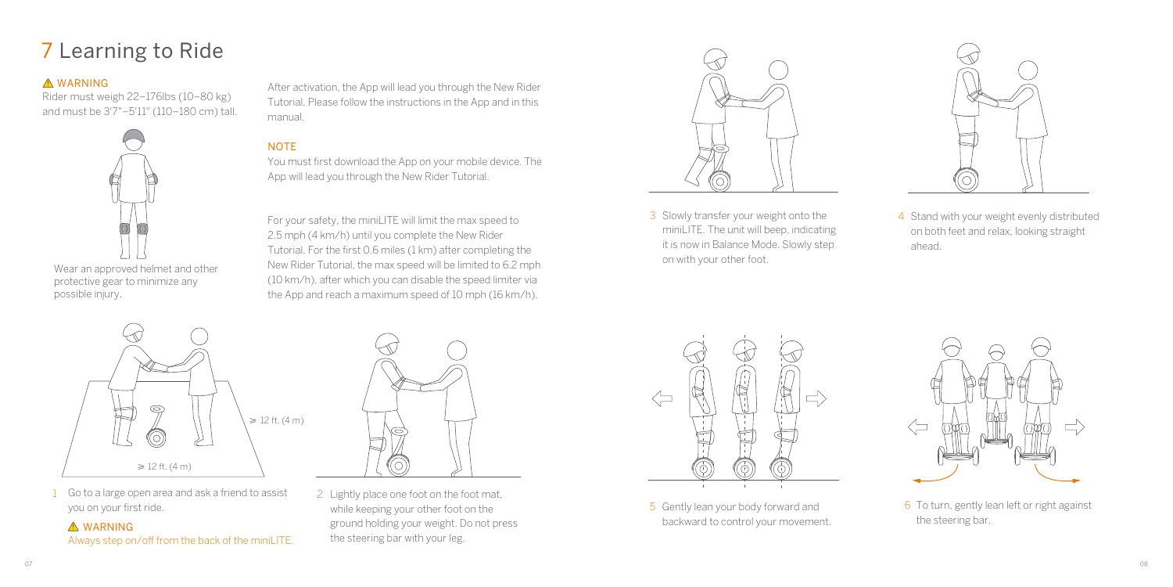# 7 Learning to Ride

#### **A WARNING**

Rider must weigh 22–176lbs (10–80 kg) and must be 3'7"–5'11" (110–180 cm) tall.



Wear an approved helmet and other protective gear to minimize any possible injury.

After activation, the App will lead you through the New Rider Tutorial. Please follow the instructions in the App and in this manual.

#### **NOTE**

You must first download the App on your mobile device. The App will lead you through the New Rider Tutorial.

For your safety, the miniLITE will limit the max speed to 2.5 mph (4 km/h) until you complete the New Rider Tutorial. For the first 0.6 miles (1 km) after completing the New Rider Tutorial, the max speed will be limited to 6.2 mph (10 km/h), after which you can disable the speed limiter via the App and reach a maximum speed of 10 mph (16 km/h).



3 Slowly transfer your weight onto the miniLITE. The unit will beep, indicating it is now in Balance Mode. Slowly step on with your other foot.



4 Stand with your weight evenly distributed on both feet and relax, looking straight ahead.



1 Go to a large open area and ask a friend to assist you on your first ride.

**A** WARNING Always step on/off from the back of the miniLITE.



2 Lightly place one foot on the foot mat, while keeping your other foot on the ground holding your weight. Do not press the steering bar with your leg.



5 Gently lean your body forward and backward to control your movement.



5 Gently lean your body forward and the state of two states of To turn, gently lean left or right against the steering bar.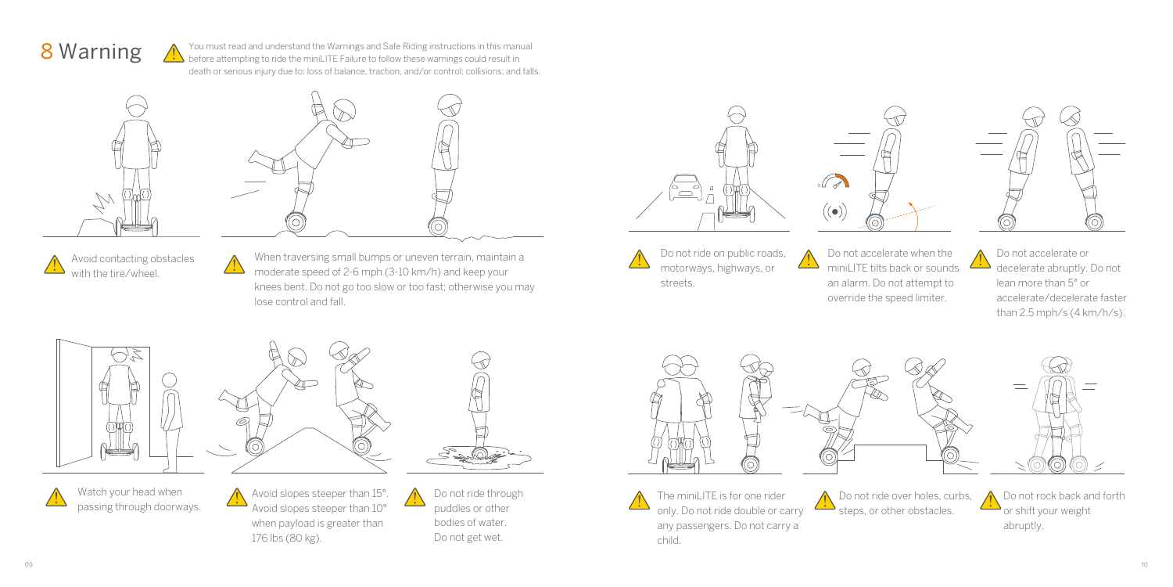

You must read and understand the Warnings and Safe Riding instructions in this manual before attempting to ride the miniLITE Failure to follow these warnings could result in death or serious injury due to: loss of balance, traction, and/or control; collisions; and falls.





Avoid contacting obstacles with the tire/wheel.

When traversing small bumps or uneven terrain, maintain a moderate speed of 2-6 mph (3-10 km/h) and keep your knees bent. Do not go too slow or too fast; otherwise you may lose control and fall.



Do not ride on public roads, motorways, highways, or streets.

Do not accelerate when the <u> 11</u> miniLITE tilts back or sounds  $\Box$ an alarm. Do not attempt to override the speed limiter.

 $(\bullet)$ 



Do not accelerate or decelerate abruptly. Do not lean more than 5° or accelerate/decelerate faster than 2.5 mph/s (4 km/h/s).

Do not rock back and forth or shift your weight abruptly.





Watch your head when passing through doorways. Avoid slopes steeper than 15°. Avoid slopes steeper than 10° when payload is greater than 176 lbs (80 kg).



Do not ride through puddles or other bodies of water. Do not get wet.





The minil ITF is for one rider only. Do not ride double or carry any passengers. Do not carry a child.

Do not ride over holes, curbs, steps, or other obstacles.

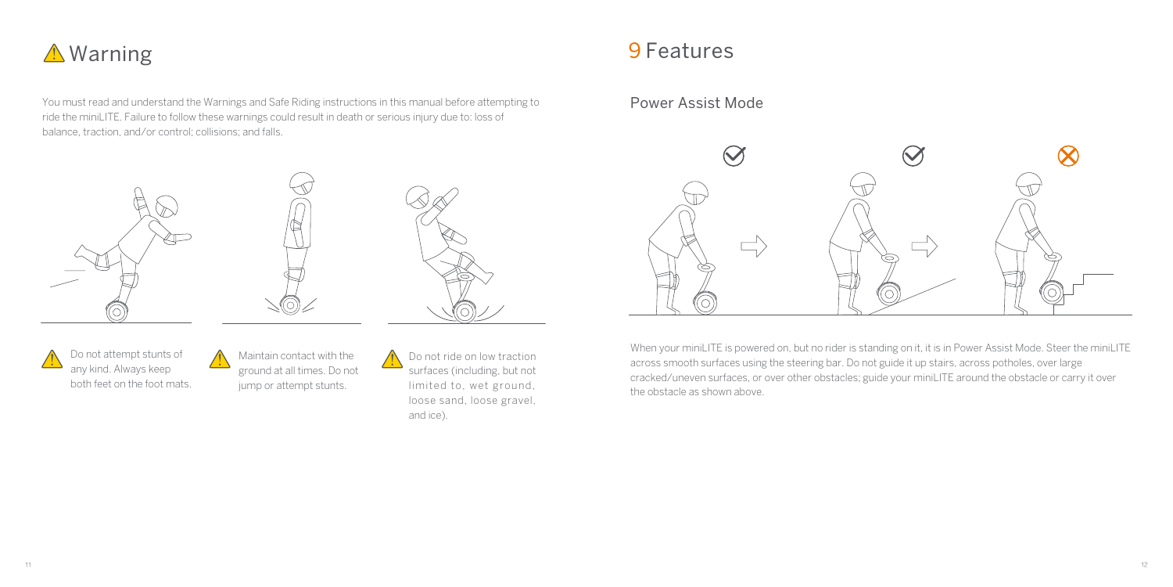

You must read and understand the Warnings and Safe Riding instructions in this manual before attempting to ride the miniLITE. Failure to follow these warnings could result in death or serious injury due to: loss of balance, traction, and/or control; collisions; and falls.







Do not attempt stunts of any kind. Always keep both feet on the foot mats. Maintain contact with the ground at all times. Do not jump or attempt stunts.

Do not ride on low traction surfaces (including, but not limited to, wet ground, loose sand, loose gravel, and ice).

### 9 Features

### Power Assist Mode



When your miniLITE is powered on, but no rider is standing on it, it is in Power Assist Mode. Steer the miniLITE across smooth surfaces using the steering bar. Do not guide it up stairs, across potholes, over large cracked/uneven surfaces, or over other obstacles; guide your miniLITE around the obstacle or carry it over the obstacle as shown above.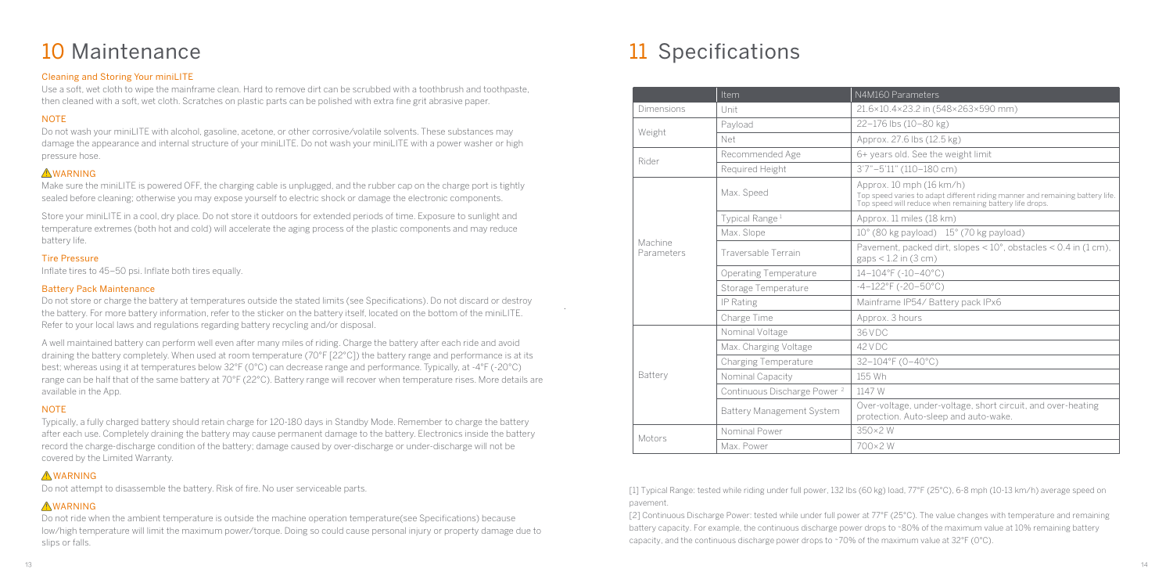#### Cleaning and Storing Your miniLITE

Use a soft, wet cloth to wipe the mainframe clean. Hard to remove dirt can be scrubbed with a toothbrush and toothpaste, then cleaned with a soft, wet cloth. Scratches on plastic parts can be polished with extra fine grit abrasive paper.

#### **NOTE**

Do not wash your miniLITE with alcohol, gasoline, acetone, or other corrosive/volatile solvents. These substances may damage the appearance and internal structure of your miniLITE. Do not wash your miniLITE with a power washer or high pressure hose.

#### **AWARNING**

Make sure the miniLITE is powered OFF, the charging cable is unplugged, and the rubber cap on the charge port is tightly sealed before cleaning; otherwise you may expose yourself to electric shock or damage the electronic components.

Store your minil ITE in a cool, dry place. Do not store it outdoors for extended periods of time. Exposure to sunlight and temperature extremes (both hot and cold) will accelerate the aging process of the plastic components and may reduce battery life.

#### Tire Pressure

Inflate tires to 45–50 psi. Inflate both tires equally.

#### Battery Pack Maintenance

Do not store or charge the battery at temperatures outside the stated limits (see Specifications). Do not discard or destroy the battery. For more battery information, refer to the sticker on the battery itself, located on the bottom of the miniLITE. Refer to your local laws and regulations regarding battery recycling and/or disposal.

A well maintained battery can perform well even after many miles of riding. Charge the battery after each ride and avoid draining the battery completely. When used at room temperature (70°F [22°C]) the battery range and performance is at its best; whereas using it at temperatures below 32°F (0°C) can decrease range and performance. Typically, at -4°F (-20°C) range can be half that of the same battery at 70°F (22°C). Battery range will recover when temperature rises. More details are available in the App.

#### **NOTE**

Typically, a fully charged battery should retain charge for 120-180 days in Standby Mode. Remember to charge the battery after each use. Completely draining the battery may cause permanent damage to the battery. Electronics inside the battery record the charge-discharge condition of the battery; damage caused by over-discharge or under-discharge will not be covered by the Limited Warranty.

#### **AWARNING**

Do not attempt to disassemble the battery. Risk of fire. No user serviceable parts.

#### **AWARNING**

Do not ride when the ambient temperature is outside the machine operation temperature(see Specifications) because low/high temperature will limit the maximum power/torque. Doing so could cause personal injury or property damage due to slips or falls.

# **10** Maintenance **10** Maintenance **11** Specifications

.

|                       | Item                                    | N4M160 Parameters                                                                                                                                                     |
|-----------------------|-----------------------------------------|-----------------------------------------------------------------------------------------------------------------------------------------------------------------------|
| Dimensions            | Unit                                    | 21.6×10.4×23.2 in (548×263×590 mm)                                                                                                                                    |
| Weight                | Payload                                 | 22-176 lbs (10-80 kg)                                                                                                                                                 |
|                       | Net                                     | Approx. 27.6 lbs (12.5 kg)                                                                                                                                            |
| Rider                 | Recommended Age                         | 6+ years old. See the weight limit                                                                                                                                    |
|                       | Required Height                         | 3'7"-5'11" (110-180 cm)                                                                                                                                               |
|                       | Max. Speed                              | Approx. 10 mph (16 km/h)<br>Top speed varies to adapt different riding manner and remaining battery life.<br>Top speed will reduce when remaining battery life drops. |
|                       | Typical Range <sup>1</sup>              | Approx. 11 miles (18 km)                                                                                                                                              |
|                       | Max. Slope                              | 10° (80 kg payload) 15° (70 kg payload)                                                                                                                               |
| Machine<br>Parameters | Traversable Terrain                     | Pavement, packed dirt, slopes < 10°, obstacles < 0.4 in (1 cm),<br>gaps $<$ 1.2 in (3 cm)                                                                             |
|                       | Operating Temperature                   | 14-104°F (-10-40°C)                                                                                                                                                   |
|                       | Storage Temperature                     | $-4-122^{\circ}F$ ( $-20-50^{\circ}C$ )                                                                                                                               |
|                       | IP Rating                               | Mainframe IP54/ Battery pack IPx6                                                                                                                                     |
|                       | Charge Time                             | Approx. 3 hours                                                                                                                                                       |
|                       | Nominal Voltage                         | 36 VDC                                                                                                                                                                |
|                       | Max. Charging Voltage                   | 42 VDC                                                                                                                                                                |
|                       | Charging Temperature                    | 32-104°F (0-40°C)                                                                                                                                                     |
| Battery               | Nominal Capacity                        | 155 Wh                                                                                                                                                                |
|                       | Continuous Discharge Power <sup>2</sup> | 1147 W                                                                                                                                                                |
|                       | Battery Management System               | Over-voltage, under-voltage, short circuit, and over-heating<br>protection. Auto-sleep and auto-wake.                                                                 |
| Motors                | Nominal Power                           | 350×2W                                                                                                                                                                |
|                       | Max. Power                              | 700×2W                                                                                                                                                                |

[1] Typical Range: tested while riding under full power, 132 lbs (60 kg) load, 77°F (25°C), 6-8 mph (10-13 km/h) average speed on pavement.

[2] Continuous Discharge Power: tested while under full power at 77°F (25°C). The value changes with temperature and remaining battery capacity. For example, the continuous discharge power drops to ~80% of the maximum value at 10% remaining battery capacity, and the continuous discharge power drops to ~70% of the maximum value at 32°F (0°C).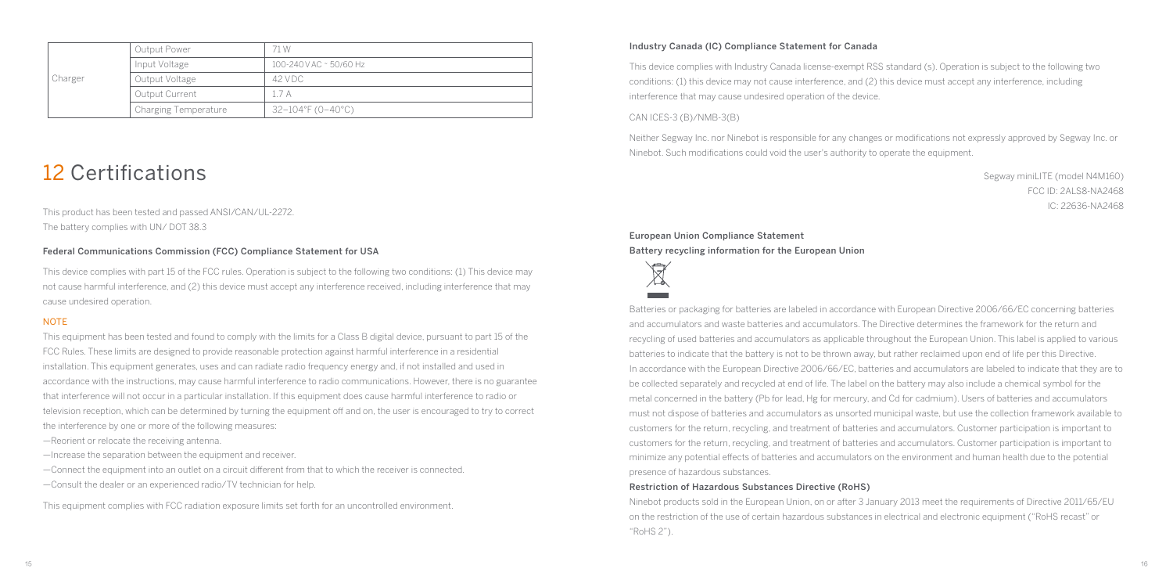| Charger | Output Power         | 71 W                    |
|---------|----------------------|-------------------------|
|         | Input Voltage        | 100-240 V AC ~ 50/60 Hz |
|         | Output Voltage       | 42 V D.C.               |
|         | Output Current       | 17A                     |
|         | Charging Temperature | 32-104°F (0-40°C)       |

### 12 Certifications

This product has been tested and passed ANSI/CAN/UL-2272. The battery complies with UN/ DOT 38.3

#### Federal Communications Commission (FCC) Compliance Statement for USA

This device complies with part 15 of the FCC rules. Operation is subject to the following two conditions: (1) This device may not cause harmful interference, and (2) this device must accept any interference received, including interference that may cause undesired operation.

#### **NOTE**

This equipment has been tested and found to comply with the limits for a Class B digital device, pursuant to part 15 of the FCC Rules. These limits are designed to provide reasonable protection against harmful interference in a residential installation. This equipment generates, uses and can radiate radio frequency energy and, if not installed and used in accordance with the instructions, may cause harmful interference to radio communications. However, there is no guarantee that interference will not occur in a particular installation. If this equipment does cause harmful interference to radio or television reception, which can be determined by turning the equipment off and on, the user is encouraged to try to correct the interference by one or more of the following measures:

—Reorient or relocate the receiving antenna.

- —Increase the separation between the equipment and receiver.
- $-$ Connect the equipment into an outlet on a circuit different from that to which the receiver is connected.
- —Consult the dealer or an experienced radio/TV technician for help.

This equipment complies with FCC radiation exposure limits set forth for an uncontrolled environment.

#### Industry Canada (IC) Compliance Statement for Canada

This device complies with Industry Canada license-exempt RSS standard (s). Operation is subject to the following two conditions: (1) this device may not cause interference, and (2) this device must accept any interference, including interference that may cause undesired operation of the device.

#### CAN ICES-3 (B)/NMB-3(B)

Neither Segway Inc. nor Ninebot is responsible for any changes or modifications not expressly approved by Segway Inc. or Ninebot. Such modifications could void the user's authority to operate the equipment.

> Segway miniLITE (model N4M160) FCC ID: 2ALS8-NA2468 IC: 22636-NA2468

European Union Compliance Statement Battery recycling information for the European Union



Batteries or packaging for batteries are labeled in accordance with European Directive 2006/66/EC concerning batteries and accumulators and waste batteries and accumulators. The Directive determines the framework for the return and recycling of used batteries and accumulators as applicable throughout the European Union. This label is applied to various batteries to indicate that the battery is not to be thrown away, but rather reclaimed upon end of life per this Directive. In accordance with the European Directive 2006/66/EC, batteries and accumulators are labeled to indicate that they are to be collected separately and recycled at end of life. The label on the battery may also include a chemical symbol for the metal concerned in the battery (Pb for lead, Hg for mercury, and Cd for cadmium). Users of batteries and accumulators must not dispose of batteries and accumulators as unsorted municipal waste, but use the collection framework available to customers for the return, recycling, and treatment of batteries and accumulators. Customer participation is important to customers for the return, recycling, and treatment of batteries and accumulators. Customer participation is important to minimize any potential effects of batteries and accumulators on the environment and human health due to the potential presence of hazardous substances.

#### Restriction of Hazardous Substances Directive (RoHS)

Ninebot products sold in the European Union, on or after 3 January 2013 meet the requirements of Directive 2011/65/EU on the restriction of the use of certain hazardous substances in electrical and electronic equipment ("RoHS recast" or "RoHS 2").